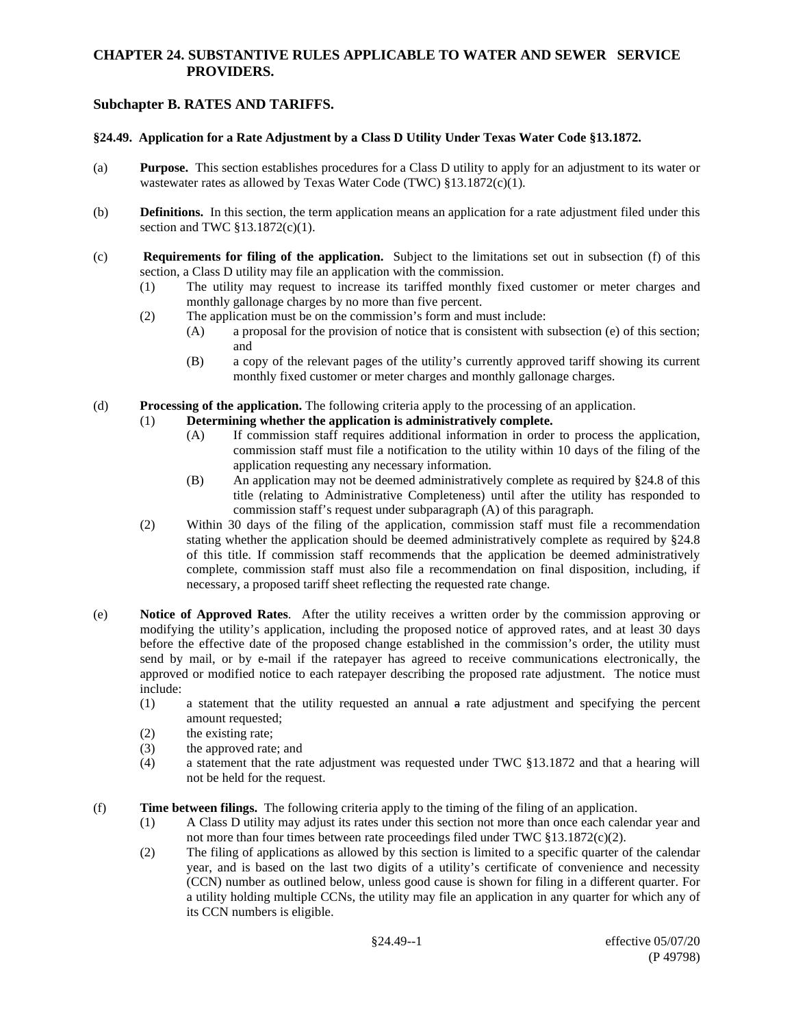### **CHAPTER 24. SUBSTANTIVE RULES APPLICABLE TO WATER AND SEWER SERVICE PROVIDERS.**

# **Subchapter B. RATES AND TARIFFS.**

#### **§24.49. Application for a Rate Adjustment by a Class D Utility Under Texas Water Code §13.1872.**

- (a) **Purpose.** This section establishes procedures for a Class D utility to apply for an adjustment to its water or wastewater rates as allowed by Texas Water Code (TWC) §13.1872(c)(1).
- (b) **Definitions.** In this section, the term application means an application for a rate adjustment filed under this section and TWC §13.1872(c)(1).
- (c) **Requirements for filing of the application.** Subject to the limitations set out in subsection (f) of this section, a Class D utility may file an application with the commission.
	- (1) The utility may request to increase its tariffed monthly fixed customer or meter charges and monthly gallonage charges by no more than five percent.
	- (2) The application must be on the commission's form and must include:
		- (A) a proposal for the provision of notice that is consistent with subsection (e) of this section; and
		- (B) a copy of the relevant pages of the utility's currently approved tariff showing its current monthly fixed customer or meter charges and monthly gallonage charges.
- (d) **Processing of the application.** The following criteria apply to the processing of an application.

### (1) **Determining whether the application is administratively complete.**

- (A) If commission staff requires additional information in order to process the application, commission staff must file a notification to the utility within 10 days of the filing of the application requesting any necessary information.
- (B) An application may not be deemed administratively complete as required by §24.8 of this title (relating to Administrative Completeness) until after the utility has responded to commission staff's request under subparagraph (A) of this paragraph.
- (2) Within 30 days of the filing of the application, commission staff must file a recommendation stating whether the application should be deemed administratively complete as required by §24.8 of this title. If commission staff recommends that the application be deemed administratively complete, commission staff must also file a recommendation on final disposition, including, if necessary, a proposed tariff sheet reflecting the requested rate change.
- (e) **Notice of Approved Rates**. After the utility receives a written order by the commission approving or modifying the utility's application, including the proposed notice of approved rates, and at least 30 days before the effective date of the proposed change established in the commission's order, the utility must send by mail, or by e-mail if the ratepayer has agreed to receive communications electronically, the approved or modified notice to each ratepayer describing the proposed rate adjustment. The notice must include:
	- (1) a statement that the utility requested an annual a rate adjustment and specifying the percent amount requested;
	- (2) the existing rate;
	- (3) the approved rate; and
	- (4) a statement that the rate adjustment was requested under TWC §13.1872 and that a hearing will not be held for the request.
- (f) **Time between filings.** The following criteria apply to the timing of the filing of an application.
	- (1) A Class D utility may adjust its rates under this section not more than once each calendar year and not more than four times between rate proceedings filed under TWC  $\S 13.1872(c)(2)$ .
	- (2) The filing of applications as allowed by this section is limited to a specific quarter of the calendar year, and is based on the last two digits of a utility's certificate of convenience and necessity (CCN) number as outlined below, unless good cause is shown for filing in a different quarter. For a utility holding multiple CCNs, the utility may file an application in any quarter for which any of its CCN numbers is eligible.